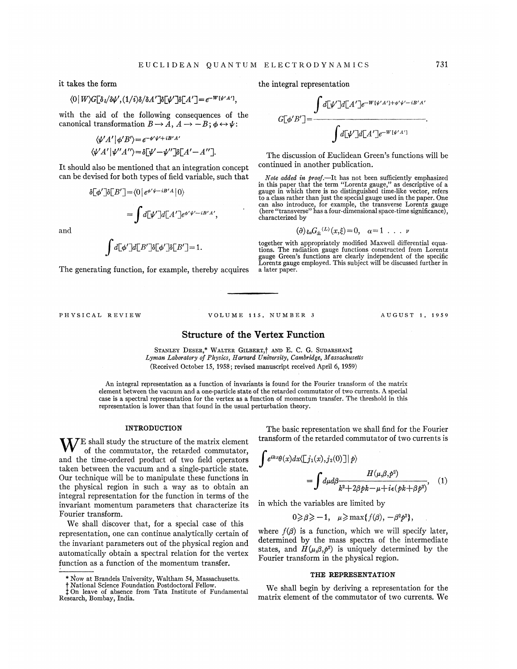it takes the form

# $\langle 0|W\rangle G[\delta \iota/\delta \psi', (1/i) \delta/\delta A']$ δ $[\psi']$ δ $[A']=e^{-W[\psi' A']}$

with the aid of the following consequences of the canonical transformation  $B \to A$ ,  $A \to -B$ ;  $\phi \leftrightarrow \psi$ :

$$
\langle \psi' A' | \phi' B' \rangle = e^{-\phi' \psi' + iB'A'}
$$
  

$$
\langle \psi' A' | \psi'' A'' \rangle = \delta [\psi' - \psi''] \delta[A' - A''].
$$

It should also be mentioned that an integration concept can be devised for both types of field variable, such that

$$
\delta[\phi']\delta[B'] = \langle 0|e^{\phi'\psi - iB'A}|0\rangle
$$

$$
= \int d[\psi']d[A']e^{\phi'\psi' - iB'A'},
$$

and

$$
\int d\lbrack\!\lbrack \phi'\rbrack\!\rbrack d\lbrack B'\rbrack\!\rbrack \delta\lbrack\!\lbrack \phi'\rbrack\!\rbrack \delta\lbrack B'\rbrack\!\rbrack=1.
$$

The generating function, for example, thereby acquires

the integral representation

$$
G[\phi'B'] = \frac{\int d[\psi']d[A']e^{-W[\psi'A'] + \phi'\psi' - iB'A'}}{\int d[\psi']d[A']e^{-W[\psi'A']}}
$$

The discussion of Euclidean Green's functions will be continued in another publication.

Note added in proof.-It has not been sufficiently emphasized Note added in proof.—It has not been sufficiently emphasized<br>in this paper that the term "Lorentz gauge," as descriptive of a gauge in which there is no distinguished time-like vector, refers to a class rather than just the special gauge used in the paper. One can also introduce, for example, the transverse Lorentz gauge {here "transverse" has a four-dimensional space-time significance), characterized by

$$
(\partial) \xi_{\alpha} G_{\pm}{}^{(L)}(x,\xi) = 0, \quad \alpha = 1 \quad . \quad . \quad \nu
$$

together with appropriately modified Maxwell differential equations. The radiation gauge functions constructed from Lorentz gauge Green's functions are clearly independent of the specific Lorentz gauge employed. This subject will be discussed further in a later paper.

#### PHYSICAL REVIEW VOLUME 115, NUMBER 3 AUGUST 1, 1959

Structure of the Vertex Function

STANLEY DESER,\* WALTER GILBERT,† AND E. C. G. SUDARSHAN<sup>†</sup> Lyman Laboratory of Physics, Harvard University, Cambridge, Massachusetts (Received October 15, 1958; revised manuscript received April 6, 1959}

An integral representation as a function of invariants is found for the Fourier transform of the matrix element between the vacuum and a one-particle state of the retarded commutator of two currents. A special case is a spectral representation for the vertex as a function of momentum transfer. The threshold in this representation is lower than that found in the usual perturbation theory.

### INTRODUCTION

 $\mathbf{X} \mathcal{F}$ E shall study the structure of the matrix element of the commutator, the retarded commutator, and the time-ordered product of two field operators taken between the vacuum and a single-particle state. Our technique will be to manipulate these functions in the physical region in such a way as to obtain an integral representation for the function in terms of the invariant momentum parameters that characterize its Fourier transform.

We shall discover that, for a special case of this representation, one can continue analytically certain of the invariant parameters out of the physical region and automatically obtain a spectral relation for the vertex function as a function of the momentum transfer.

The basic representation we shall find for the Fourier transform of the retarded commutator of two currents is

$$
\int e^{ikx}\theta(x)dx \langle [j_1(x), j_2(0)]|p\rangle
$$
  
= 
$$
\int d\mu d\beta \frac{H(\mu, \beta, p^2)}{k^2 + 2\beta pk - \mu + i\epsilon (pk + \beta p^2)},
$$
 (1)

in which the variables are limited by

$$
0 \geqslant \beta \geqslant -1, \quad \mu \geqslant \max\{f(\beta), -\beta^2 p^2\},
$$

where  $f(\beta)$  is a function, which we will specify later, determined by the mass spectra of the intermediate states, and  $H(\mu, \beta, p^2)$  is uniquely determined by the Fourier transform in the physical region.

### THE REPRESENTATION

We sha11 begin by deriving a representation for the matrix element of the commutator of two currents. We

<sup>\*</sup> Now at Brandeis University, Waltham 54, Massachusett

<sup>†</sup> National Science Foundation Postdoctoral Fellow.<br>‡On leave of absence from Tata Institute of Fundament Research, Bombay, India.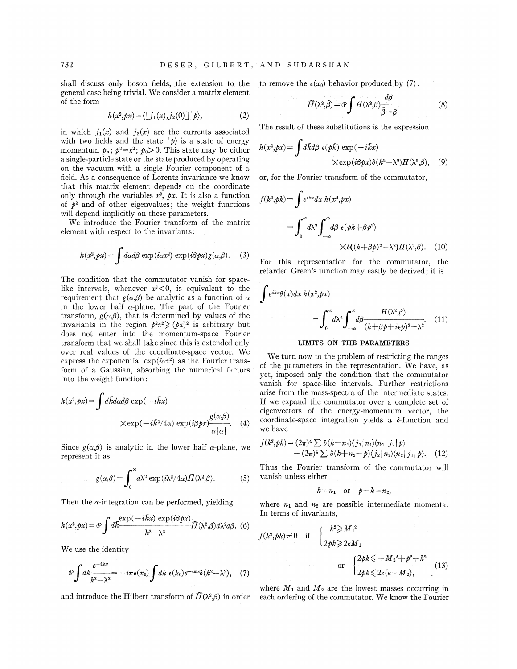shall discuss only boson fields, the extension to the to remove the  $\epsilon(x_0)$  behavior produced by (7): general case being trivial. We consider a matrix element of the form

$$
h(x^2, px) = \langle [j_1(x), j_2(0)] | p \rangle, \tag{2}
$$

in which  $j_1(x)$  and  $j_2(x)$  are the currents associated with two fields and the state  $|p\rangle$  is a state of energy momentum  $p_{\mu}$ ;  $p^2 = \kappa^2$ ;  $p_0 > 0$ . This state may be either a single-particle state or the state produced by operating on the vacuum with a single Fourier component of a field. As a consequence of Lorentz invariance we know that this matrix element depends on the coordinate only through the variables  $x^2$ ,  $px$ . It is also a function of  $p^2$  and of other eigenvalues; the weight functions will depend implicitly on these parameters.

We introduce the Fourier transform of the matrix element with respect to the invariants:

$$
h(x^2, px) = \int d\alpha d\beta \exp(i\alpha x^2) \exp(i\beta px) g(\alpha, \beta).
$$
 (3)

The condition that the commutator vanish for spacelike intervals, whenever  $x^2 < 0$ , is equivalent to the requirement that  $g(\alpha, \beta)$  be analytic as a function of  $\alpha$ in the lower half  $\alpha$ -plane. The part of the Fourier transform,  $g(\alpha, \beta)$ , that is determined by values of the invariants in the region  $p^2x^2 \geq (px)^2$  is arbitrary but does not enter into the momentum-space Fourier transform that we shall take since this is extended only over real values of the coordinate-space vector. We express the exponential  $exp(i\alpha x^2)$  as the Fourier transform of a Gaussian, absorbing the numerical factors into the weight function:

$$
h(x^2, px) = \int d\vec{k}d\alpha d\beta \exp(-i\vec{k}x)
$$

$$
\times \exp(-i\vec{k}^2/4\alpha) \exp(i\beta px) \frac{g(\alpha,\beta)}{\alpha|\alpha|}.
$$
 (4)

Since  $g(\alpha, \beta)$  is analytic in the lower half  $\alpha$ -plane, we represent it as

$$
g(\alpha,\beta) = \int_0^\infty d\lambda^2 \exp(i\lambda^2/4\alpha) \widetilde{H}(\lambda^2,\beta). \tag{5}
$$

Then the  $\alpha$ -integration can be performed, yielding

$$
h(x^2, px) = \mathcal{O} \int d\vec{k} \frac{\exp(-i\vec{k}x) \exp(i\beta px)}{\vec{k}^2 - \lambda^2} \tilde{H}(\lambda^2, \beta) d\lambda^2 d\beta. \tag{6}
$$

We use the identity

$$
\mathcal{O}\int dk \frac{e^{-ikx}}{k^2 - \lambda^2} = -i\pi\epsilon(x_0) \int dk \ \epsilon(k_0) e^{-ikx} \delta(k^2 - \lambda^2), \quad (7)
$$

$$
\tilde{H}(\lambda^2, \tilde{\beta}) = \mathcal{O} \int H(\lambda^2, \beta) \frac{d\beta}{\tilde{\beta} - \beta}.
$$
 (8)

The result of these substitutions is the expression

$$
h(x^2, px) = \int d\vec{k} d\beta \epsilon(\vec{pk}) \exp(-i\vec{k}x)
$$
  
 
$$
\times \exp(i\beta \vec{p}x) \delta(\vec{k}^2 - \lambda^2) H(\lambda^2, \beta), \quad (9)
$$

or, for the Fourier transform of the commutator,

$$
f(k^2, pk) = \int e^{ikx} dx \, h(x^2, px)
$$
  
= 
$$
\int_0^\infty d\lambda^2 \int_{-\infty}^\infty d\beta \, \epsilon (pk + \beta p^2)
$$
  

$$
\times \delta((k + \beta p)^2 - \lambda^2) H(\lambda^2, \beta). \quad (10)
$$

For this representation for the commutator, the retarded Green's function may easily be derived; it is

$$
\int e^{ikx}\theta(x)dx \, h(x^2, px) = \int_0^\infty d\lambda^2 \int_{-\infty}^\infty d\beta \frac{H(\lambda^2, \beta)}{(k + \beta p + i\epsilon p)^2 - \lambda^2}.
$$
 (11)

## LIMITS ON THE PARAMETERS

We turn now to the problem of restricting the ranges of the parameters in the representation. We have, as yet, imposed only the condition that the commutator vanish for space-like intervals. Further restrictions arise from the mass-spectra of the intermediate states. If we expand the commutator over a complete set of eigenvectors of the energy-momentum vector, the coordinate-space integration yields a 8-function and we have

$$
f(k^2, pk) = (2\pi)^4 \sum \delta(k - n_1) \langle j_1 | n_1 \rangle \langle n_1 | j_2 | p \rangle
$$
  
-(2\pi)^4 \sum \delta(k + n\_2 - p) \langle j\_2 | n\_2 \rangle \langle n\_2 | j\_1 | p \rangle. (12)

Thus the Fourier transform of the commutator will vanish unless either

$$
k = n_1 \quad \text{or} \quad p - k = n_2,
$$

where  $n_1$  and  $n_2$  are possible intermediate momenta. In terms of invariants,

$$
f(k^2, pk) \neq 0 \quad \text{if} \quad \begin{cases} k^2 \geqslant M_1^2 \\ 2pk \geqslant 2\kappa M_1 \end{cases}
$$
\n
$$
\text{or} \quad \begin{cases} 2pk \leqslant -M_2^2 + p^2 + k^2 \\ 2pk \leqslant 2\kappa(\kappa - M_2), \end{cases} \tag{13}
$$

where  $M_1$  and  $M_2$  are the lowest masses occurring in and introduce the Hilbert transform of  $\tilde{H}(\lambda^2,\beta)$  in order each ordering of the commutator. We know the Fourier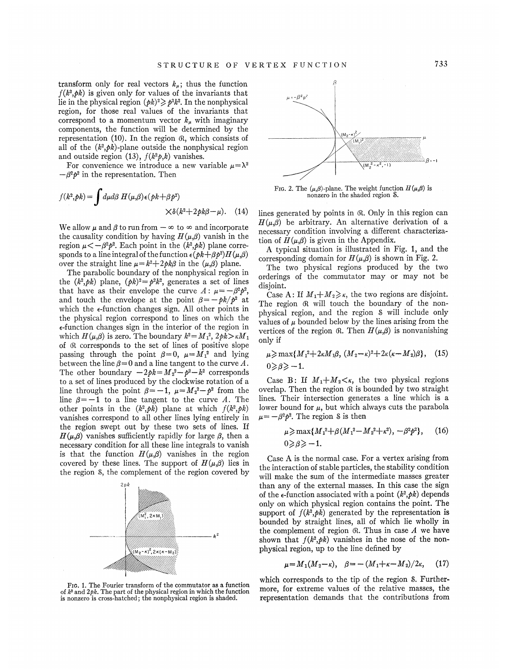transform only for real vectors  $k_{\mu}$ ; thus the function  $f(k^2, pk)$  is given only for values of the invariants that lie in the physical region  $(\rho k)^2 \geq \rho^2 k^2$ . In the nonphysical region, for those real values of the invariants that correspond to a momentum vector  $k<sub>u</sub>$  with imaginary components, the function will be determined by the representation  $(10)$ . In the region  $\alpha$ , which consists of all of the  $(k^2, pk)$ -plane outside the nonphysical region and outside region (13),  $f(k^2p, k)$  vanishes.

For convenience we introduce a new variable  $\mu = \lambda^2$  –  $\beta^2 p^2$  in the representation. Then

$$
f(k^2, pk) = \int d\mu d\beta \ H(\mu, \beta) \epsilon (pk + \beta p^2) \times \delta (k^2 + 2pk\beta - \mu). \tag{14}
$$

We allow  $\mu$  and  $\beta$  to run from  $-\infty$  to  $\infty$  and incorporate the causality condition by having  $H(\mu, \beta)$  vanish in the region  $\mu < -\beta^2 p^2$ . Each point in the  $(k^2,pk)$  plane corresponds to a line integral of the function  $\epsilon$  ( $\phi k + \beta \phi^2$ )  $H(\mu, \beta)$ over the straight line  $\mu = k^2 + 2p k\beta$  in the  $(\mu, \beta)$  plane.

The parabolic boundary of the nonphysical region in the  $(k^2, pk)$  plane,  $(pk)^2 = p^2k^2$ , generates a set of lines that have as their envelope the curve  $A: \mu = -\beta^2 p^2$ , and touch the envelope at the point  $\beta = -pk/p^2$  at which the  $\epsilon$ -function changes sign. All other points in the physical region correspond to lines on which the &-function changes sign in the interior of the region in which  $H(\mu,\beta)$  is zero. The boundary  $k^2 = M_1^2$ ,  $2p\tilde{k} > \kappa M_1$ of (R corresponds to the set of lines of positive slope passing through the point  $\beta=0$ ,  $\mu=M_1^2$  and lying between the line  $\beta = 0$  and a line tangent to the curve A. The other boundary  $-2pk = M_2^2 - p^2 - k^2$  corresponds to a set of lines produced by the clockwise rotation of a line through the point  $\beta = -1$ ,  $\mu = M_2^2 - \rho^2$  from the line  $\beta = -1$  to a line tangent to the curve A. The other points in the  $(k^2, p\bar{k})$  plane at which  $f(k^2, pk)$ vanishes correspond to all other lines lying entirely in the region swept out by these two sets of lines. If  $H(\mu, \beta)$  vanishes sufficiently rapidly for large  $\beta$ , then a necessary condition for all these line integrals to vanish is that the function  $H(\mu, \beta)$  vanishes in the region covered by these lines. The support of  $H(\mu,\beta)$  lies in the region S, the complement of the region covered by



FIG. 1. The Fourier transform of the commutator as a function of  $k^2$  and  $2pk$ . The part of the physical region in which the function is nonzero is cross-hatched; the nonphysical region is shaded.



Frg. 2. The  $(\mu,\beta)$ -plane. The weight function  $H(\mu,\beta)$  is nonzero in the shaded region S.

lines generated by points in  $\Re$ . Only in this region can  $H(\mu, \beta)$  be arbitrary. An alternative derivation of a necessary condition involving a different characterization of  $H(\mu, \beta)$  is given in the Appendix.

A typical situation is illustrated in Fig. 1, and the corresponding domain for  $H(\mu, \beta)$  is shown in Fig. 2.

The two physical regions produced by the two orderings of the commutator may or may not be disjoint.

Case A: If  $M_1 + M_2 \geq \kappa$ , the two regions are disjoint. The region  $\Re$  will touch the boundary of the nonphysical region, and the region S will include only values of  $\mu$  bounded below by the lines arising from the vertices of the region  $\mathfrak{R}$ . Then  $H(\mu, \beta)$  is nonvanishing only if

$$
\mu \ge \max\{M_1^2 + 2\kappa M_1\beta, (M_2 - \kappa)^2 + 2\kappa(\kappa - M_2)\beta\}, \quad (15) 0 \ge \beta \ge -1.
$$

Case B: If  $M_1 + M_2 < \kappa$ , the two physical regions overlap. Then the region  $\Re$  is bounded by two straight lines. Their intersection generates a line which is a lower bound for  $\mu$ , but which always cuts the parabola  $\mu = -\beta^2 p^2$ . The region S is then

$$
\mu \ge \max\{M_1^2 + \beta(M_1^2 - M_2^2 + \kappa^2), -\beta^2 \rho^2\},\qquad(16)
$$
  

$$
0 \ge \beta \ge -1.
$$

Case A is the normal case. For a vertex arising from the interaction of stable particles, the stability condition will make the sum of the intermediate masses greater than any of the external masses. In this case the sign of the  $\epsilon$ -function associated with a point  $(k^2, pk)$  depends only on which physical region contains the point. The support of  $f(k^2, pk)$  generated by the representation is bounded by straight lines, all of which lie wholly in the complement of region  $\Re$ . Thus in case  $A$  we have shown that  $f(k^2, pk)$  vanishes in the nose of the nonphysical region, up to the line defined by

$$
\mu = M_1(M_2 - \kappa), \quad \beta = -\left(M_1 + \kappa - M_2\right)/2\kappa, \quad (17)
$$

which corresponds to the tip of the region S. Furthermore, for extreme values of the relative masses, the representation demands that the contributions from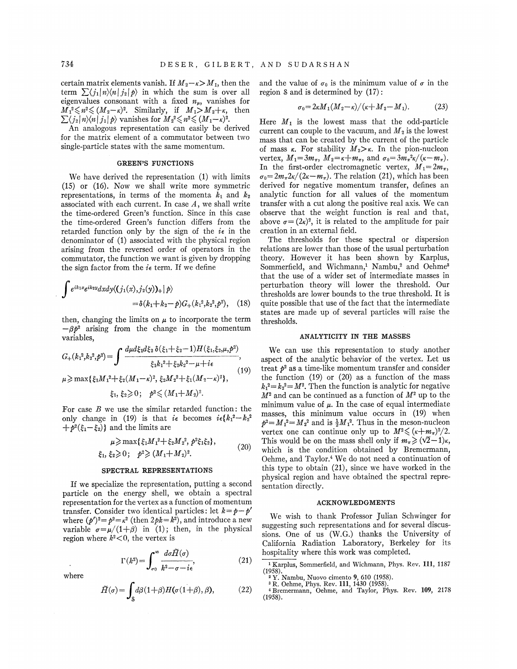certain matrix elements vanish. If  $M_2-\kappa > M_1$ , then the term  $\sum_{i} \langle j_1|n\rangle \langle n|j_2|p\rangle$  in which the sum is over all eigenvalues consonant with a fixed  $n_{\mu}$ , vanishes for  $M_1^2 \leq n^2 \leq (M_2 - \kappa)^2$ . Similarly, if  $M_1 > M_2 + \kappa$ , then  $M_1^2 \leq n \leq (M_2 - k)^2$ . Similarly, if  $M_1 > M_2 + k$ ,<br> $\sum_{j=1}^k \langle j_2 | n \rangle \langle n | j_1 | p \rangle$  vanishes for  $M_2^2 \leq n^2 \leq (M_1 - k)^2$ .

An analogous representation can easily be derived for the matrix element of a commutator between two single-particle states with the same momentum.

# GREEN'S FUNCTIONS

We have derived the representation (1) with limits (15) or (16). Now we shall write more symmetric representations, in terms of the momenta  $k_1$  and  $k_2$ associated with each current. In case  $A$ , we shall write the time-ordered Green's function. Since in this case the time-ordered Green's function differs from the retarded function only by the sign of the  $i\epsilon$  in the denominator of (1) associated with the physical region arising from the reversed order of operators in the commutator, the function we want is given by dropping the sign factor from the  $i\epsilon$  term. If we define

$$
\int e^{ik_1x} e^{ik_2y} dxdy \langle (j_1(x), j_2(y))_+ | p \rangle
$$
  
=  $\delta (k_1 + k_2 - p) G_+(k_1^2, k_2^2, p^2)$ , (18)

then, changing the limits on  $\mu$  to incorporate the term  $-\beta p^2$  arising from the change in the momentum variables,

$$
G_{+}(k_{1}^{2},k_{2}^{2},p^{2}) = \int \frac{d\mu d\xi_{1}d\xi_{2}\,\delta(\xi_{1}+\xi_{2}-1)H(\xi_{1},\xi_{2},\mu,p^{2})}{\xi_{1}k_{1}^{2}+\xi_{2}k_{2}^{2}-\mu+i\epsilon},\tag{19}
$$

$$
\mu \ge \max\{\xi_1M_1^2 + \xi_2(M_1 - \kappa)^2, \xi_2M_2^2 + \xi_1(M_2 - \kappa)^2\},\
$$
  

$$
\xi_1, \xi_2 \ge 0; \quad p^2 \le (M_1 + M_2)^2.
$$

For case  $B$  we use the similar retarded function: the only change in (19) is that  $i\epsilon$  becomes  $i\epsilon$ { $k_1^2 - k_2^2$  $+p^2(\xi_1-\xi_2)$ } and the limits are

$$
\mu \ge \max\{\xi_1 M_1^2 + \xi_2 M_2^2, p^2 \xi_1 \xi_2\},
$$
  

$$
\xi_1, \xi_2 \ge 0; \quad p^2 \ge (M_1 + M_2)^2.
$$
 (20)

#### SPECTRAL REPRESENTATIONS

If we specialize the representation, putting a second particle on the energy shell, we obtain a spectral representation for the vertex as a function of momentum transfer. Consider two identical particles: let  $k = p - p'$ where  $(p')^2 = p^2 = \kappa^2$  (then  $2pk = k^2$ ), and introduce a new variable  $\sigma = \mu/(1+\beta)$  in (1); then, in the physical region where  $k^2<0$ , the vertex is

$$
\Gamma(k^2) = \int_{\sigma_0}^{\infty} \frac{d\sigma \tilde{H}(\sigma)}{k^2 - \sigma - i\epsilon},
$$
\n(21)

where

$$
\tilde{H}(\sigma) = \int_{\mathcal{S}} d\beta (1+\beta) H(\sigma(1+\beta), \beta), \tag{22}
$$

and the value of  $\sigma_0$  is the minimum value of  $\sigma$  in the region  $\delta$  and is determined by  $(17)$ :

$$
\sigma_0 = 2\kappa M_1 (M_2 - \kappa) / (\kappa + M_2 - M_1). \tag{23}
$$

Here  $M_1$  is the lowest mass that the odd-particle current can couple to the vacuum, and  $M_2$  is the lowest mass that can be created by the current of the particle of mass  $\kappa$ . For stability  $M_2 > \kappa$ . In the pion-nucleon vertex,  $M_1 = 3m_\pi$ ,  $M_2 = \kappa + m_\pi$ , and  $\sigma_0 = 3m_\pi^2 \kappa / (\kappa - m_\pi)$ . In the first-order electromagnetic vertex,  $M_1=2m_\pi$ ,  $\sigma_0 = 2m_\pi 2\kappa/(2\kappa - m_\pi)$ . The relation (21), which has been derived for negative momentum transfer, defines an analytic function for all values of the momentum transfer with a cut along the positive real axis. Ke can observe that the weight function is real and that, above  $\sigma = (2\kappa)^2$ , it is related to the amplitude for pair creation in an external held.

The thresholds for these spectral or dispersion relations are lower than those of the usual perturbation theory. However it has been shown by Karplus, Sommerfield, and Wichmann,<sup>1</sup> Nambu,<sup>2</sup> and Oehme that the use of a wider set of intermediate masses in perturbation theory will lower the threshold. Our thresholds are lower bounds to the true threshold. It is quite possible that use of the fact that the intermediate states are made up of several particles will raise the thresholds.

#### ANALYTICITY IN THE MASSES

We can use this representation to study another aspect of the analytic behavior of the vertex. Let us treat  $p^2$  as a time-like momentum transfer and consider the function  $(19)$  or  $(20)$  as a function of the mass  $k_1^2 = k_2^2 = M^2$ . Then the function is analytic for negative  $M^2$  and can be continued as a function of  $M^2$  up to the minimum value of  $\mu$ . In the case of equal intermediate masses, this minimum value occurs in (19) when  $p^2 = M_1^2 = M_2^2$  and is  $\frac{1}{2}M_1^2$ . Thus in the meson-nucleon vertex one can continue only up to  $M^2 \leq (\kappa+m_\pi)^2/2$ . This would be on the mass shell only if  $m_{\pi} \geq (\sqrt{2}-1)\kappa$ , which is the condition obtained by Sremermann, Oehme, and Taylor.<sup>4</sup> We do not need a continuation of this type to obtain (21), since we have worked in the physical region and have obtained the spectral representation directly.

# ACKNOWLEDGMENTS

We wish to thank Professor Julian Schwinger for suggesting such representations and for several discussions. One of us (W.G.) thanks the University of California Radiation Laboratory, Berkeley for its hospitality where this work was completed.

Karplus, Sommerfield, and Wichmann, Phys. Rev. 111, 1187 (1958). <sup>2</sup> Y. Nambu, Nuovo cimento 9, 610 (1958). <sup>3</sup> R. Oehme, Phys. Rev. 111, 1430 (1958).

<sup>3</sup> R. Oehme, Phys. Rev. 111, 1430 (1958).<br><sup>4</sup> Bremermann, Oehme, and Taylor, Phys. Rev. 109, 2178  $(1958).$